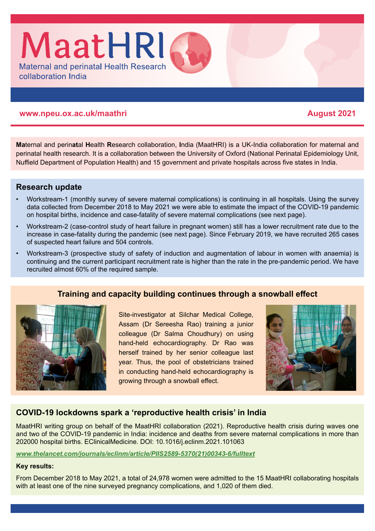

### **www.npeu.ox.ac.uk/maathri August 2021**

**Ma**ternal and perin**at**al **H**ealth **R**esearch collaboration, **I**ndia (MaatHRI) is a UK-India collaboration for maternal and perinatal health research. It is a collaboration between the University of Oxford (National Perinatal Epidemiology Unit, Nuffield Department of Population Health) and 15 government and private hospitals across five states in India.

# **Research update**

- Workstream-1 (monthly survey of severe maternal complications) is continuing in all hospitals. Using the survey data collected from December 2018 to May 2021 we were able to estimate the impact of the COVID-19 pandemic on hospital births, incidence and case-fatality of severe maternal complications (see next page).
- Workstream-2 (case-control study of heart failure in pregnant women) still has a lower recruitment rate due to the increase in case-fatality during the pandemic (see next page). Since February 2019, we have recruited 265 cases of suspected heart failure and 504 controls.
- Workstream-3 (prospective study of safety of induction and augmentation of labour in women with anaemia) is continuing and the current participant recruitment rate is higher than the rate in the pre-pandemic period. We have recruited almost 60% of the required sample.



## **Training and capacity building continues through a snowball effect**

Site-investigator at Silchar Medical College, Assam (Dr Sereesha Rao) training a junior colleague (Dr Salma Choudhury) on using hand-held echocardiography. Dr Rao was herself trained by her senior colleague last year. Thus, the pool of obstetricians trained in conducting hand-held echocardiography is growing through a snowball effect.



# **COVID-19 lockdowns spark a 'reproductive health crisis' in India**

MaatHRI writing group on behalf of the MaatHRI collaboration (2021). Reproductive health crisis during waves one and two of the COVID-19 pandemic in India: incidence and deaths from severe maternal complications in more than 202000 hospital births. EClinicalMedicine. DOI: 10.1016/j.eclinm.2021.101063

#### *[www.thelancet.com/journals/eclinm/article/PIIS2589-5370\(21\)00343-6/fulltext](http://www.thelancet.com/journals/eclinm/article/PIIS2589-5370(21)00343-6/fulltext)*

### **Key results:**

From December 2018 to May 2021, a total of 24,978 women were admitted to the 15 MaatHRI collaborating hospitals with at least one of the nine surveyed pregnancy complications, and 1,020 of them died.